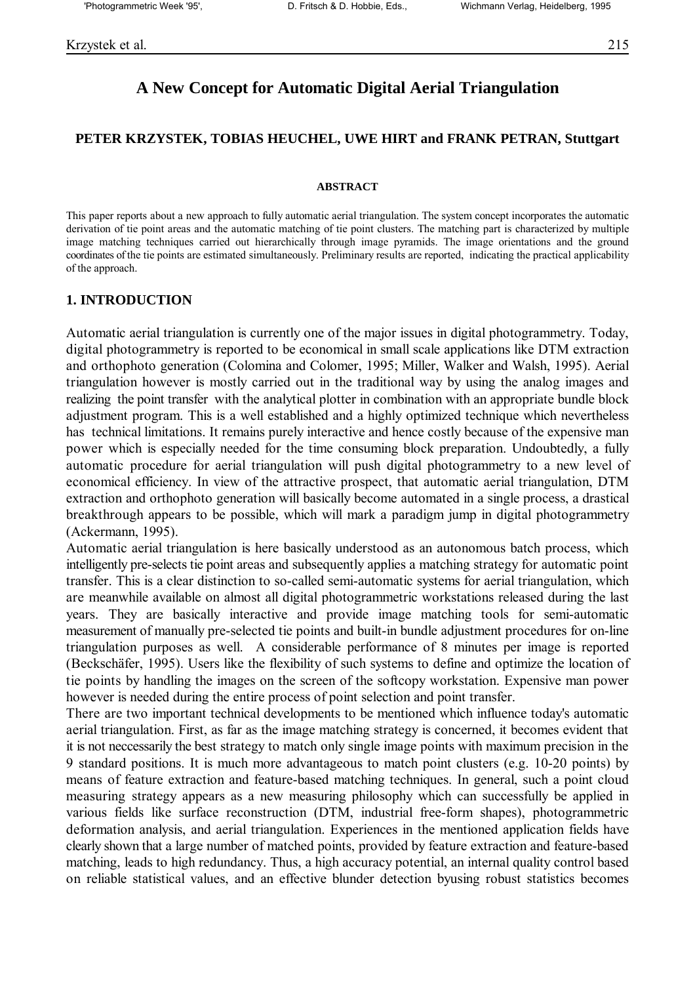# **A New Concept for Automatic Digital Aerial Triangulation**

### **PETER KRZYSTEK, TOBIAS HEUCHEL, UWE HIRT and FRANK PETRAN, Stuttgart**

#### **ABSTRACT**

This paper reports about a new approach to fully automatic aerial triangulation. The system concept incorporates the automatic derivation of tie point areas and the automatic matching of tie point clusters. The matching part is characterized by multiple image matching techniques carried out hierarchically through image pyramids. The image orientations and the ground coordinates of the tie points are estimated simultaneously. Preliminary results are reported, indicating the practical applicability of the approach.

#### **1. INTRODUCTION**

Automatic aerial triangulation is currently one of the major issues in digital photogrammetry. Today, digital photogrammetry is reported to be economical in small scale applications like DTM extraction and orthophoto generation (Colomina and Colomer, 1995; Miller, Walker and Walsh, 1995). Aerial triangulation however is mostly carried out in the traditional way by using the analog images and realizing the point transfer with the analytical plotter in combination with an appropriate bundle block adjustment program. This is a well established and a highly optimized technique which nevertheless has technical limitations. It remains purely interactive and hence costly because of the expensive man power which is especially needed for the time consuming block preparation. Undoubtedly, a fully automatic procedure for aerial triangulation will push digital photogrammetry to a new level of economical efficiency. In view of the attractive prospect, that automatic aerial triangulation, DTM extraction and orthophoto generation will basically become automated in a single process, a drastical breakthrough appears to be possible, which will mark a paradigm jump in digital photogrammetry (Ackermann, 1995).

Automatic aerial triangulation is here basically understood as an autonomous batch process, which intelligently pre-selects tie point areas and subsequently applies a matching strategy for automatic point transfer. This is a clear distinction to so-called semi-automatic systems for aerial triangulation, which are meanwhile available on almost all digital photogrammetric workstations released during the last years. They are basically interactive and provide image matching tools for semi-automatic measurement of manually pre-selected tie points and built-in bundle adjustment procedures for on-line triangulation purposes as well. A considerable performance of 8 minutes per image is reported (Becksch‰fer, 1995). Users like the flexibility of such systems to define and optimize the location of tie points by handling the images on the screen of the softcopy workstation. Expensive man power however is needed during the entire process of point selection and point transfer.

There are two important technical developments to be mentioned which influence today's automatic aerial triangulation. First, as far as the image matching strategy is concerned, it becomes evident that it is not neccessarily the best strategy to match only single image points with maximum precision in the 9 standard positions. It is much more advantageous to match point clusters (e.g. 10-20 points) by means of feature extraction and feature-based matching techniques. In general, such a point cloud measuring strategy appears as a new measuring philosophy which can successfully be applied in various fields like surface reconstruction (DTM, industrial free-form shapes), photogrammetric deformation analysis, and aerial triangulation. Experiences in the mentioned application fields have clearly shown that a large number of matched points, provided by feature extraction and feature-based matching, leads to high redundancy. Thus, a high accuracy potential, an internal quality control based on reliable statistical values, and an effective blunder detection byusing robust statistics becomes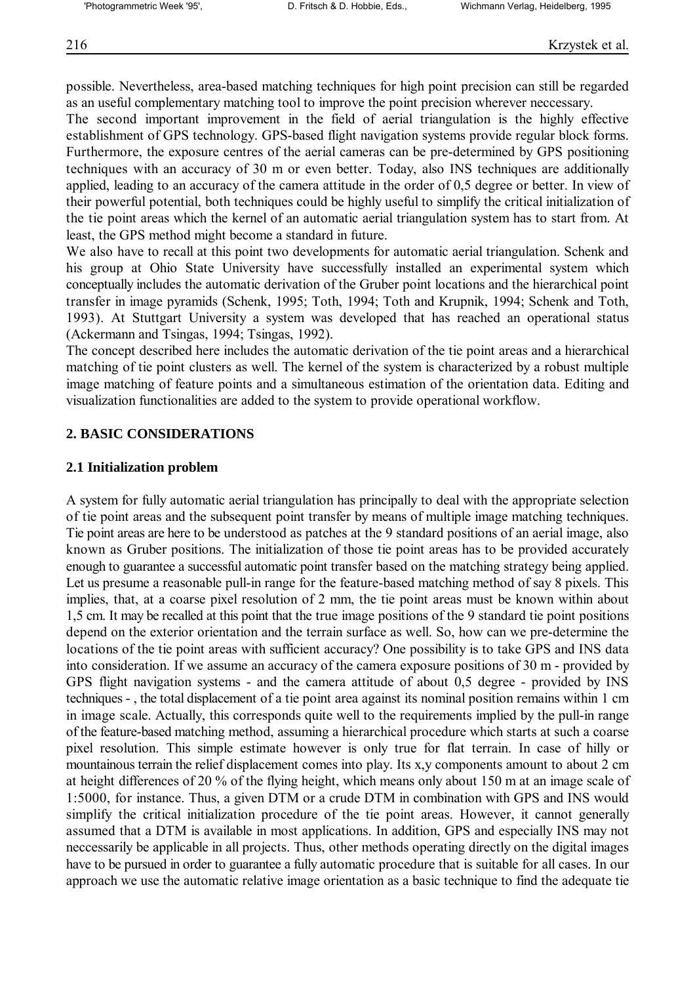possible. Nevertheless, area-based matching techniques for high point precision can still be regarded as an useful complementary matching tool to improve the point precision wherever neccessary.

The second important improvement in the field of aerial triangulation is the highly effective establishment of GPS technology. GPS-based flight navigation systems provide regular block forms. Furthermore, the exposure centres of the aerial cameras can be pre-determined by GPS positioning techniques with an accuracy of 30 m or even better. Today, also INS techniques are additionally applied, leading to an accuracy of the camera attitude in the order of 0,5 degree or better. In view of their powerful potential, both techniques could be highly useful to simplify the critical initialization of the tie point areas which the kernel of an automatic aerial triangulation system has to start from. At least, the GPS method might become a standard in future.

We also have to recall at this point two developments for automatic aerial triangulation. Schenk and his group at Ohio State University have successfully installed an experimental system which conceptually includes the automatic derivation of the Gruber point locations and the hierarchical point transfer in image pyramids (Schenk, 1995; Toth, 1994; Toth and Krupnik, 1994; Schenk and Toth, 1993). At Stuttgart University a system was developed that has reached an operational status (Ackermann and Tsingas, 1994; Tsingas, 1992).

The concept described here includes the automatic derivation of the tie point areas and a hierarchical matching of tie point clusters as well. The kernel of the system is characterized by a robust multiple image matching of feature points and a simultaneous estimation of the orientation data. Editing and visualization functionalities are added to the system to provide operational workflow.

## **2. BASIC CONSIDERATIONS**

#### **2.1 Initialization problem**

A system for fully automatic aerial triangulation has principally to deal with the appropriate selection of tie point areas and the subsequent point transfer by means of multiple image matching techniques. Tie point areas are here to be understood as patches at the 9 standard positions of an aerial image, also known as Gruber positions. The initialization of those tie point areas has to be provided accurately enough to guarantee a successful automatic point transfer based on the matching strategy being applied. Let us presume a reasonable pull-in range for the feature-based matching method of say 8 pixels. This implies, that, at a coarse pixel resolution of 2 mm, the tie point areas must be known within about 1,5 cm. It may be recalled at this point that the true image positions of the 9 standard tie point positions depend on the exterior orientation and the terrain surface as well. So, how can we pre-determine the locations of the tie point areas with sufficient accuracy? One possibility is to take GPS and INS data into consideration. If we assume an accuracy of the camera exposure positions of 30 m - provided by GPS flight navigation systems - and the camera attitude of about 0,5 degree - provided by INS techniques - , the total displacement of a tie point area against its nominal position remains within 1 cm in image scale. Actually, this corresponds quite well to the requirements implied by the pull-in range of the feature-based matching method, assuming a hierarchical procedure which starts at such a coarse pixel resolution. This simple estimate however is only true for flat terrain. In case of hilly or mountainous terrain the relief displacement comes into play. Its x,y components amount to about 2 cm at height differences of 20 % of the flying height, which means only about 150 m at an image scale of 1:5000, for instance. Thus, a given DTM or a crude DTM in combination with GPS and INS would simplify the critical initialization procedure of the tie point areas. However, it cannot generally assumed that a DTM is available in most applications. In addition, GPS and especially INS may not neccessarily be applicable in all projects. Thus, other methods operating directly on the digital images have to be pursued in order to guarantee a fully automatic procedure that is suitable for all cases. In our approach we use the automatic relative image orientation as a basic technique to find the adequate tie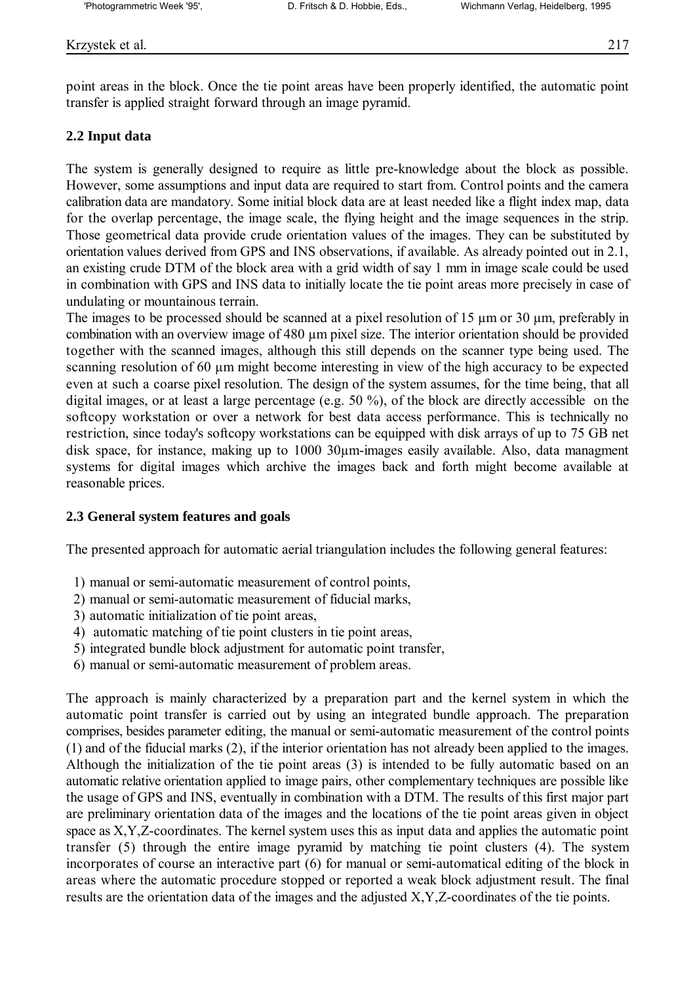point areas in the block. Once the tie point areas have been properly identified, the automatic point transfer is applied straight forward through an image pyramid.

## **2.2 Input data**

The system is generally designed to require as little pre-knowledge about the block as possible. However, some assumptions and input data are required to start from. Control points and the camera calibration data are mandatory. Some initial block data are at least needed like a flight index map, data for the overlap percentage, the image scale, the flying height and the image sequences in the strip. Those geometrical data provide crude orientation values of the images. They can be substituted by orientation values derived from GPS and INS observations, if available. As already pointed out in 2.1, an existing crude DTM of the block area with a grid width of say 1 mm in image scale could be used in combination with GPS and INS data to initially locate the tie point areas more precisely in case of undulating or mountainous terrain.

The images to be processed should be scanned at a pixel resolution of 15  $\mu$ m or 30  $\mu$ m, preferably in combination with an overview image of 480 µm pixel size. The interior orientation should be provided together with the scanned images, although this still depends on the scanner type being used. The scanning resolution of 60 µm might become interesting in view of the high accuracy to be expected even at such a coarse pixel resolution. The design of the system assumes, for the time being, that all digital images, or at least a large percentage (e.g. 50 %), of the block are directly accessible on the softcopy workstation or over a network for best data access performance. This is technically no restriction, since today's softcopy workstations can be equipped with disk arrays of up to 75 GB net disk space, for instance, making up to 1000 30 $\mu$ m-images easily available. Also, data managment systems for digital images which archive the images back and forth might become available at reasonable prices.

### **2.3 General system features and goals**

The presented approach for automatic aerial triangulation includes the following general features:

- 1) manual or semi-automatic measurement of control points,
- 2) manual or semi-automatic measurement of fiducial marks,
- 3) automatic initialization of tie point areas,
- 4) automatic matching of tie point clusters in tie point areas,
- 5) integrated bundle block adjustment for automatic point transfer,
- 6) manual or semi-automatic measurement of problem areas.

The approach is mainly characterized by a preparation part and the kernel system in which the automatic point transfer is carried out by using an integrated bundle approach. The preparation comprises, besides parameter editing, the manual or semi-automatic measurement of the control points (1) and of the fiducial marks (2), if the interior orientation has not already been applied to the images. Although the initialization of the tie point areas (3) is intended to be fully automatic based on an automatic relative orientation applied to image pairs, other complementary techniques are possible like the usage of GPS and INS, eventually in combination with a DTM. The results of this first major part are preliminary orientation data of the images and the locations of the tie point areas given in object space as X,Y,Z-coordinates. The kernel system uses this as input data and applies the automatic point transfer (5) through the entire image pyramid by matching tie point clusters (4). The system incorporates of course an interactive part (6) for manual or semi-automatical editing of the block in areas where the automatic procedure stopped or reported a weak block adjustment result. The final results are the orientation data of the images and the adjusted X,Y,Z-coordinates of the tie points.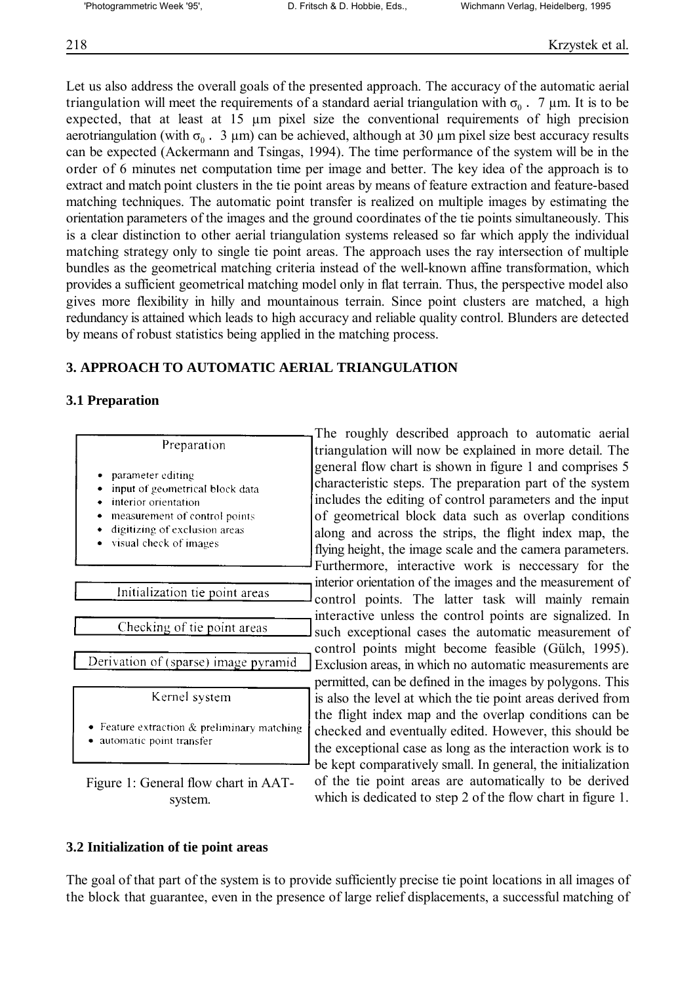Let us also address the overall goals of the presented approach. The accuracy of the automatic aerial triangulation will meet the requirements of a standard aerial triangulation with σ<sub>0</sub>. 7 μm. It is to be expected, that at least at 15 µm pixel size the conventional requirements of high precision aerotriangulation (with  $\sigma_0$ . 3 µm) can be achieved, although at 30 µm pixel size best accuracy results can be expected (Ackermann and Tsingas, 1994). The time performance of the system will be in the order of 6 minutes net computation time per image and better. The key idea of the approach is to extract and match point clusters in the tie point areas by means of feature extraction and feature-based matching techniques. The automatic point transfer is realized on multiple images by estimating the orientation parameters of the images and the ground coordinates of the tie points simultaneously. This is a clear distinction to other aerial triangulation systems released so far which apply the individual matching strategy only to single tie point areas. The approach uses the ray intersection of multiple bundles as the geometrical matching criteria instead of the well-known affine transformation, which provides a sufficient geometrical matching model only in flat terrain. Thus, the perspective model also gives more flexibility in hilly and mountainous terrain. Since point clusters are matched, a high redundancy is attained which leads to high accuracy and reliable quality control. Blunders are detected by means of robust statistics being applied in the matching process.

## **3. APPROACH TO AUTOMATIC AERIAL TRIANGULATION**

## **3.1 Preparation**

|                                                                                                                                                                          | 1 H                                                       |
|--------------------------------------------------------------------------------------------------------------------------------------------------------------------------|-----------------------------------------------------------|
| Preparation                                                                                                                                                              | tria                                                      |
| parameter editing<br>input of geometrical block data<br>interior orientation<br>measurement of control points<br>digitizing of exclusion areas<br>visual check of images | ger<br>cha<br><sub>1</sub> nc<br>οf<br>alo<br>flyi<br>Fui |
|                                                                                                                                                                          | into                                                      |
| Initialization tie point areas                                                                                                                                           | CO <sub>1</sub>                                           |
|                                                                                                                                                                          | ınt                                                       |
| Checking of tie point areas                                                                                                                                              | suc                                                       |
|                                                                                                                                                                          | CO <sub>1</sub>                                           |
| Derivation of (sparse) image pyramid                                                                                                                                     | Ex                                                        |
|                                                                                                                                                                          | per                                                       |
| Kernel system                                                                                                                                                            | is c                                                      |
| Feature extraction & preliminary matching<br>automatic point transfer                                                                                                    | the<br>cho<br>the                                         |

Figure 1: General flow chart in AATsystem.

The roughly described approach to automatic aerial angulation will now be explained in more detail. The heral flow chart is shown in figure 1 and comprises 5 aracteristic steps. The preparation part of the system ludes the editing of control parameters and the input geometrical block data such as overlap conditions ing and across the strips, the flight index map, the ing height, the image scale and the camera parameters. rthermore, interactive work is neccessary for the erior orientation of the images and the measurement of ntrol points. The latter task will mainly remain eractive unless the control points are signalized. In ch exceptional cases the automatic measurement of ntrol points might become feasible (Gülch, 1995). clusion areas, in which no automatic measurements are mitted, can be defined in the images by polygons. This also the level at which the tie point areas derived from flight index map and the overlap conditions can be ecked and eventually edited. However, this should be exceptional case as long as the interaction work is to be kept comparatively small. In general, the initialization of the tie point areas are automatically to be derived which is dedicated to step 2 of the flow chart in figure 1.

## **3.2 Initialization of tie point areas**

The goal of that part of the system is to provide sufficiently precise tie point locations in all images of the block that guarantee, even in the presence of large relief displacements, a successful matching of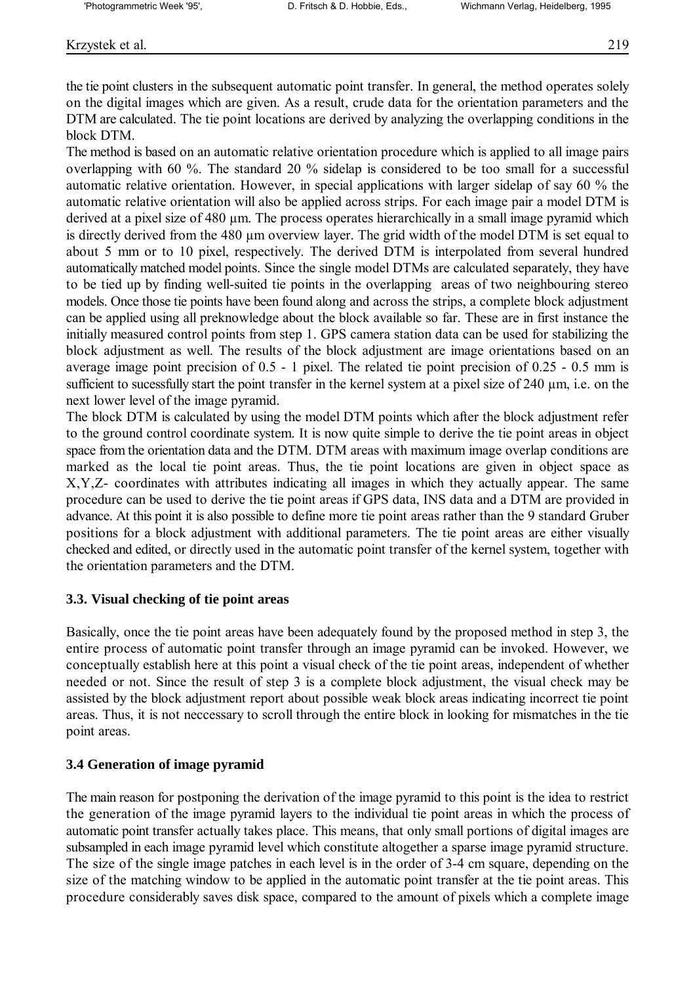the tie point clusters in the subsequent automatic point transfer. In general, the method operates solely on the digital images which are given. As a result, crude data for the orientation parameters and the DTM are calculated. The tie point locations are derived by analyzing the overlapping conditions in the block DTM.

The method is based on an automatic relative orientation procedure which is applied to all image pairs overlapping with 60 %. The standard 20 % sidelap is considered to be too small for a successful automatic relative orientation. However, in special applications with larger sidelap of say 60 % the automatic relative orientation will also be applied across strips. For each image pair a model DTM is derived at a pixel size of 480 µm. The process operates hierarchically in a small image pyramid which is directly derived from the 480 µm overview layer. The grid width of the model DTM is set equal to about 5 mm or to 10 pixel, respectively. The derived DTM is interpolated from several hundred automatically matched model points. Since the single model DTMs are calculated separately, they have to be tied up by finding well-suited tie points in the overlapping areas of two neighbouring stereo models. Once those tie points have been found along and across the strips, a complete block adjustment can be applied using all preknowledge about the block available so far. These are in first instance the initially measured control points from step 1. GPS camera station data can be used for stabilizing the block adjustment as well. The results of the block adjustment are image orientations based on an average image point precision of 0.5 - 1 pixel. The related tie point precision of 0.25 - 0.5 mm is sufficient to sucessfully start the point transfer in the kernel system at a pixel size of 240 µm, i.e. on the next lower level of the image pyramid.

The block DTM is calculated by using the model DTM points which after the block adjustment refer to the ground control coordinate system. It is now quite simple to derive the tie point areas in object space from the orientation data and the DTM. DTM areas with maximum image overlap conditions are marked as the local tie point areas. Thus, the tie point locations are given in object space as X,Y,Z- coordinates with attributes indicating all images in which they actually appear. The same procedure can be used to derive the tie point areas if GPS data, INS data and a DTM are provided in advance. At this point it is also possible to define more tie point areas rather than the 9 standard Gruber positions for a block adjustment with additional parameters. The tie point areas are either visually checked and edited, or directly used in the automatic point transfer of the kernel system, together with the orientation parameters and the DTM.

### **3.3. Visual checking of tie point areas**

Basically, once the tie point areas have been adequately found by the proposed method in step 3, the entire process of automatic point transfer through an image pyramid can be invoked. However, we conceptually establish here at this point a visual check of the tie point areas, independent of whether needed or not. Since the result of step 3 is a complete block adjustment, the visual check may be assisted by the block adjustment report about possible weak block areas indicating incorrect tie point areas. Thus, it is not neccessary to scroll through the entire block in looking for mismatches in the tie point areas.

### **3.4 Generation of image pyramid**

The main reason for postponing the derivation of the image pyramid to this point is the idea to restrict the generation of the image pyramid layers to the individual tie point areas in which the process of automatic point transfer actually takes place. This means, that only small portions of digital images are subsampled in each image pyramid level which constitute altogether a sparse image pyramid structure. The size of the single image patches in each level is in the order of 3-4 cm square, depending on the size of the matching window to be applied in the automatic point transfer at the tie point areas. This procedure considerably saves disk space, compared to the amount of pixels which a complete image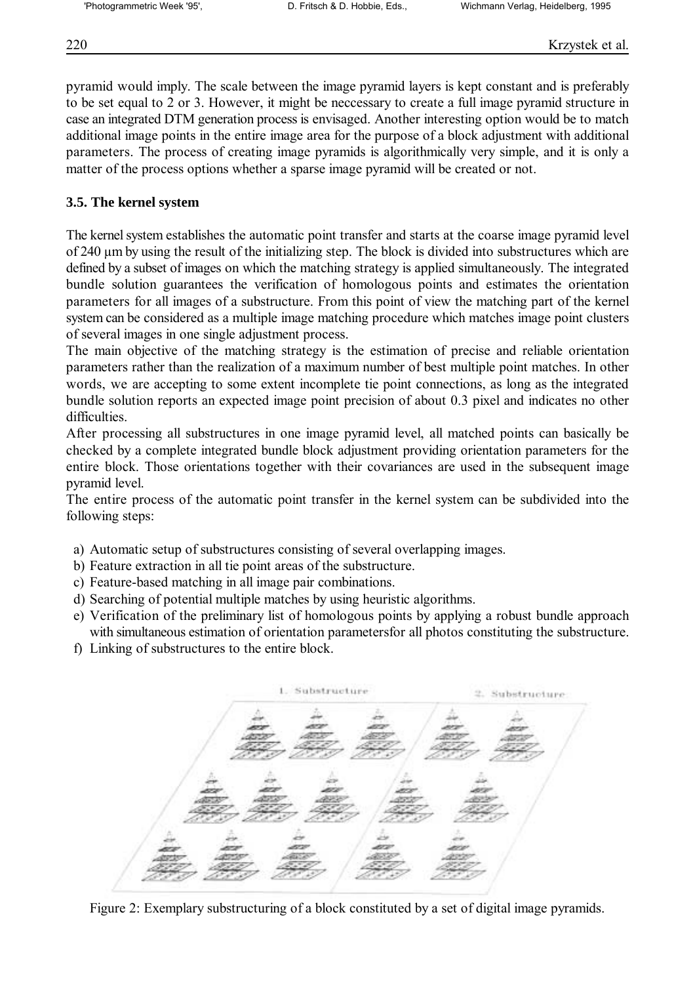pyramid would imply. The scale between the image pyramid layers is kept constant and is preferably to be set equal to 2 or 3. However, it might be neccessary to create a full image pyramid structure in case an integrated DTM generation process is envisaged. Another interesting option would be to match additional image points in the entire image area for the purpose of a block adjustment with additional parameters. The process of creating image pyramids is algorithmically very simple, and it is only a matter of the process options whether a sparse image pyramid will be created or not.

## **3.5. The kernel system**

The kernel system establishes the automatic point transfer and starts at the coarse image pyramid level of 240 µm by using the result of the initializing step. The block is divided into substructures which are defined by a subset of images on which the matching strategy is applied simultaneously. The integrated bundle solution guarantees the verification of homologous points and estimates the orientation parameters for all images of a substructure. From this point of view the matching part of the kernel system can be considered as a multiple image matching procedure which matches image point clusters of several images in one single adjustment process.

The main objective of the matching strategy is the estimation of precise and reliable orientation parameters rather than the realization of a maximum number of best multiple point matches. In other words, we are accepting to some extent incomplete tie point connections, as long as the integrated bundle solution reports an expected image point precision of about 0.3 pixel and indicates no other difficulties.

After processing all substructures in one image pyramid level, all matched points can basically be checked by a complete integrated bundle block adjustment providing orientation parameters for the entire block. Those orientations together with their covariances are used in the subsequent image pyramid level.

The entire process of the automatic point transfer in the kernel system can be subdivided into the following steps:

- a) Automatic setup of substructures consisting of several overlapping images.
- b) Feature extraction in all tie point areas of the substructure.
- c) Feature-based matching in all image pair combinations.
- d) Searching of potential multiple matches by using heuristic algorithms.
- e) Verification of the preliminary list of homologous points by applying a robust bundle approach with simultaneous estimation of orientation parametersfor all photos constituting the substructure.
- f) Linking of substructures to the entire block.



Figure 2: Exemplary substructuring of a block constituted by a set of digital image pyramids.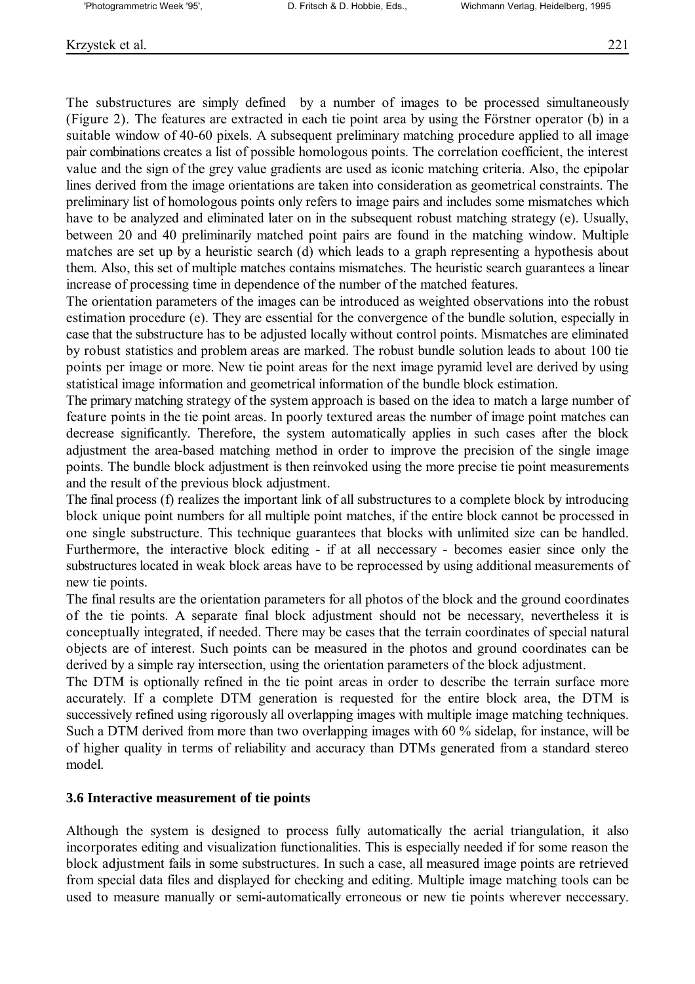The substructures are simply defined by a number of images to be processed simultaneously (Figure 2). The features are extracted in each tie point area by using the Förstner operator (b) in a suitable window of 40-60 pixels. A subsequent preliminary matching procedure applied to all image pair combinations creates a list of possible homologous points. The correlation coefficient, the interest value and the sign of the grey value gradients are used as iconic matching criteria. Also, the epipolar lines derived from the image orientations are taken into consideration as geometrical constraints. The preliminary list of homologous points only refers to image pairs and includes some mismatches which have to be analyzed and eliminated later on in the subsequent robust matching strategy (e). Usually, between 20 and 40 preliminarily matched point pairs are found in the matching window. Multiple matches are set up by a heuristic search (d) which leads to a graph representing a hypothesis about them. Also, this set of multiple matches contains mismatches. The heuristic search guarantees a linear increase of processing time in dependence of the number of the matched features.

The orientation parameters of the images can be introduced as weighted observations into the robust estimation procedure (e). They are essential for the convergence of the bundle solution, especially in case that the substructure has to be adjusted locally without control points. Mismatches are eliminated by robust statistics and problem areas are marked. The robust bundle solution leads to about 100 tie points per image or more. New tie point areas for the next image pyramid level are derived by using statistical image information and geometrical information of the bundle block estimation.

The primary matching strategy of the system approach is based on the idea to match a large number of feature points in the tie point areas. In poorly textured areas the number of image point matches can decrease significantly. Therefore, the system automatically applies in such cases after the block adjustment the area-based matching method in order to improve the precision of the single image points. The bundle block adjustment is then reinvoked using the more precise tie point measurements and the result of the previous block adjustment.

The final process (f) realizes the important link of all substructures to a complete block by introducing block unique point numbers for all multiple point matches, if the entire block cannot be processed in one single substructure. This technique guarantees that blocks with unlimited size can be handled. Furthermore, the interactive block editing - if at all neccessary - becomes easier since only the substructures located in weak block areas have to be reprocessed by using additional measurements of new tie points.

The final results are the orientation parameters for all photos of the block and the ground coordinates of the tie points. A separate final block adjustment should not be necessary, nevertheless it is conceptually integrated, if needed. There may be cases that the terrain coordinates of special natural objects are of interest. Such points can be measured in the photos and ground coordinates can be derived by a simple ray intersection, using the orientation parameters of the block adjustment.

The DTM is optionally refined in the tie point areas in order to describe the terrain surface more accurately. If a complete DTM generation is requested for the entire block area, the DTM is successively refined using rigorously all overlapping images with multiple image matching techniques. Such a DTM derived from more than two overlapping images with 60 % sidelap, for instance, will be of higher quality in terms of reliability and accuracy than DTMs generated from a standard stereo model.

## **3.6 Interactive measurement of tie points**

Although the system is designed to process fully automatically the aerial triangulation, it also incorporates editing and visualization functionalities. This is especially needed if for some reason the block adjustment fails in some substructures. In such a case, all measured image points are retrieved from special data files and displayed for checking and editing. Multiple image matching tools can be used to measure manually or semi-automatically erroneous or new tie points wherever neccessary.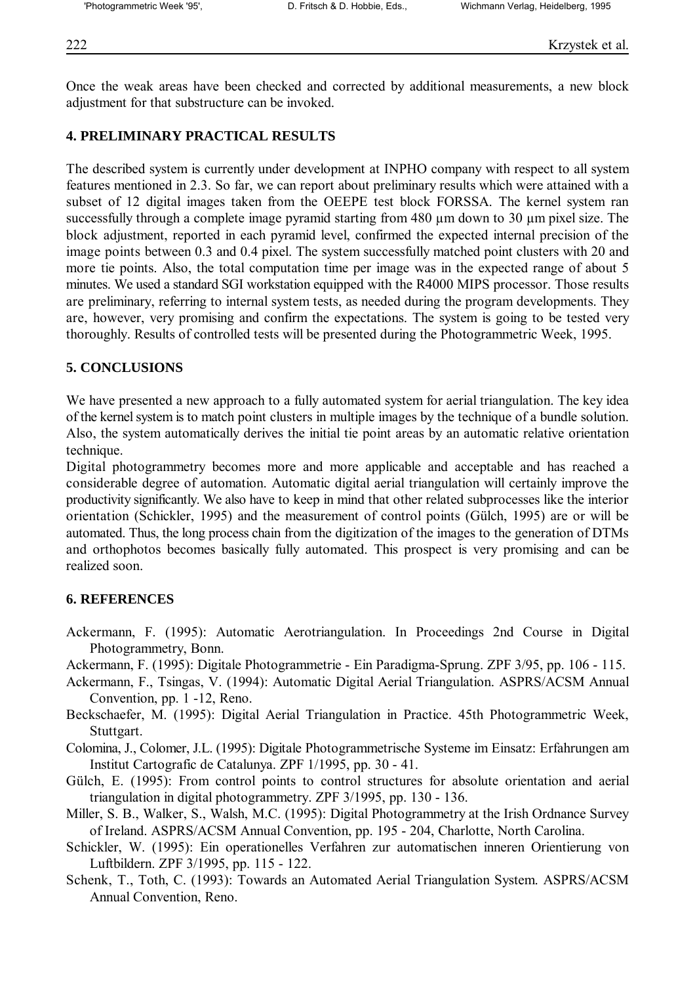Once the weak areas have been checked and corrected by additional measurements, a new block adjustment for that substructure can be invoked.

## **4. PRELIMINARY PRACTICAL RESULTS**

The described system is currently under development at INPHO company with respect to all system features mentioned in 2.3. So far, we can report about preliminary results which were attained with a subset of 12 digital images taken from the OEEPE test block FORSSA. The kernel system ran successfully through a complete image pyramid starting from 480 µm down to 30 µm pixel size. The block adjustment, reported in each pyramid level, confirmed the expected internal precision of the image points between 0.3 and 0.4 pixel. The system successfully matched point clusters with 20 and more tie points. Also, the total computation time per image was in the expected range of about 5 minutes. We used a standard SGI workstation equipped with the R4000 MIPS processor. Those results are preliminary, referring to internal system tests, as needed during the program developments. They are, however, very promising and confirm the expectations. The system is going to be tested very thoroughly. Results of controlled tests will be presented during the Photogrammetric Week, 1995.

## **5. CONCLUSIONS**

We have presented a new approach to a fully automated system for aerial triangulation. The key idea of the kernel system is to match point clusters in multiple images by the technique of a bundle solution. Also, the system automatically derives the initial tie point areas by an automatic relative orientation technique.

Digital photogrammetry becomes more and more applicable and acceptable and has reached a considerable degree of automation. Automatic digital aerial triangulation will certainly improve the productivity significantly. We also have to keep in mind that other related subprocesses like the interior orientation (Schickler, 1995) and the measurement of control points (Gülch, 1995) are or will be automated. Thus, the long process chain from the digitization of the images to the generation of DTMs and orthophotos becomes basically fully automated. This prospect is very promising and can be realized soon.

### **6. REFERENCES**

- Ackermann, F. (1995): Automatic Aerotriangulation. In Proceedings 2nd Course in Digital Photogrammetry, Bonn.
- Ackermann, F. (1995): Digitale Photogrammetrie Ein Paradigma-Sprung. ZPF 3/95, pp. 106 115.
- Ackermann, F., Tsingas, V. (1994): Automatic Digital Aerial Triangulation. ASPRS/ACSM Annual Convention, pp. 1 -12, Reno.
- Beckschaefer, M. (1995): Digital Aerial Triangulation in Practice. 45th Photogrammetric Week, Stuttgart.
- Colomina, J., Colomer, J.L. (1995): Digitale Photogrammetrische Systeme im Einsatz: Erfahrungen am Institut Cartografic de Catalunya. ZPF 1/1995, pp. 30 - 41.
- Gülch, E. (1995): From control points to control structures for absolute orientation and aerial triangulation in digital photogrammetry. ZPF 3/1995, pp. 130 - 136.
- Miller, S. B., Walker, S., Walsh, M.C. (1995): Digital Photogrammetry at the Irish Ordnance Survey of Ireland. ASPRS/ACSM Annual Convention, pp. 195 - 204, Charlotte, North Carolina.
- Schickler, W. (1995): Ein operationelles Verfahren zur automatischen inneren Orientierung von Luftbildern. ZPF 3/1995, pp. 115 - 122.
- Schenk, T., Toth, C. (1993): Towards an Automated Aerial Triangulation System. ASPRS/ACSM Annual Convention, Reno.